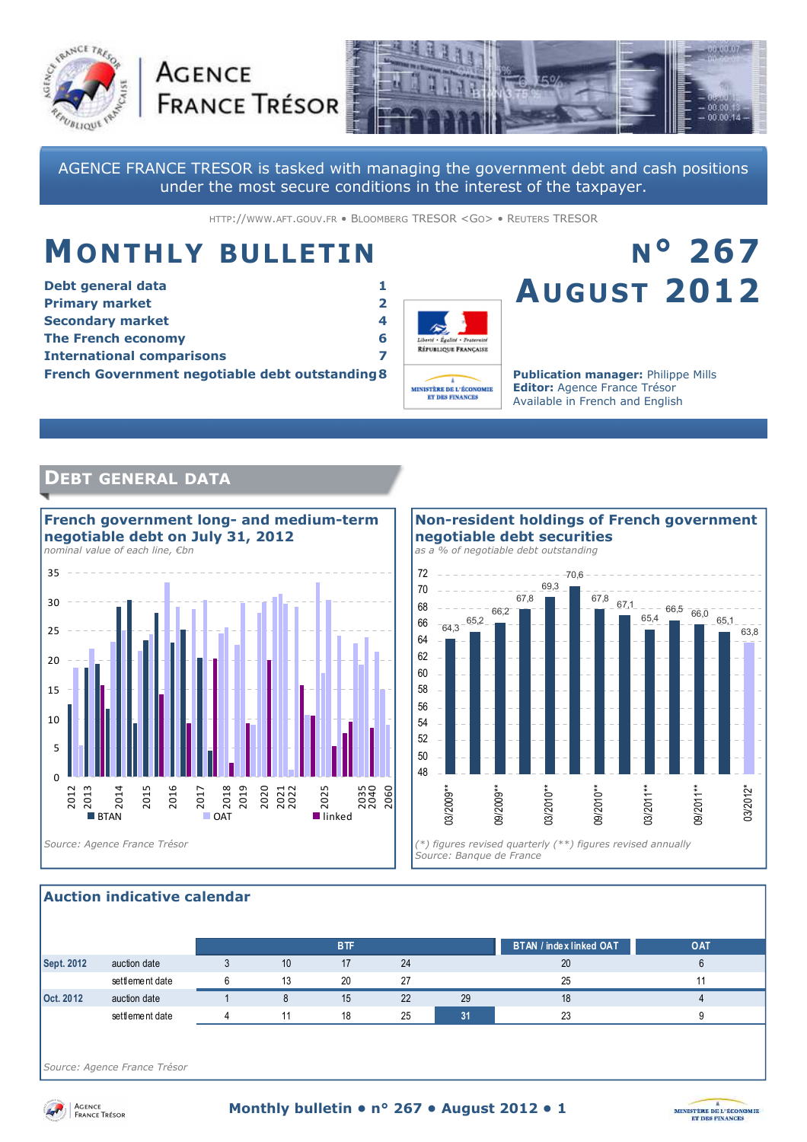



AGENCE FRANCE TRESOR is tasked with managing the government debt and cash positions under the most secure conditions in the interest of the taxpayer.

HTTP://WWW.AFT.GOUV.FR • BLOOMBERG TRESOR <GO> • REUTERS TRESOR

## **MONTHLY BULLETIN**

**AGENCE** 

| Debt general data                                      |  |
|--------------------------------------------------------|--|
| <b>Primary market</b>                                  |  |
| <b>Secondary market</b>                                |  |
| <b>The French economy</b>                              |  |
| <b>International comparisons</b>                       |  |
| <b>French Government negotiable debt outstanding 8</b> |  |



# **N° 267 AUGUST 2012**

**Publication manager:** Philippe Mills **Editor:** Agence France Trésor Available in French and English

## **DEBT GENERAL DATA**



#### 64,3 65,2 66,2 67,8 69,3  $-70.6$ 67,8 67,1 65,4  $66,5$   $66,0$ 65,1 63,8 48 50 52 54 56 58 60 62 64 66 68 70 72 03/2009\*\* 09/2009\*\* 03/2010\*\* 09/2010\*\* 03/2011\*\* 09/2011\*\* 03/2012\* *Source: Banque de France*  **Non-resident holdings of French government negotiable debt securities**  *as a % of negotiable debt outstanding*

#### **Auction indicative calendar**

|            |                 |    | <b>BTF</b> |    |    | <b>BTAN / index linked OAT</b> | <b>OAT</b> |
|------------|-----------------|----|------------|----|----|--------------------------------|------------|
| Sept. 2012 | auction date    | 10 | 17         | 24 |    | 20                             |            |
|            | settlement date | 13 | 20         | 27 |    | 25                             |            |
| Oct. 2012  | auction date    |    | 15         | 22 | 29 | 18                             |            |
|            | settlement date |    | 18         | 25 |    | 23                             |            |

*Source: Agence France Trésor* 



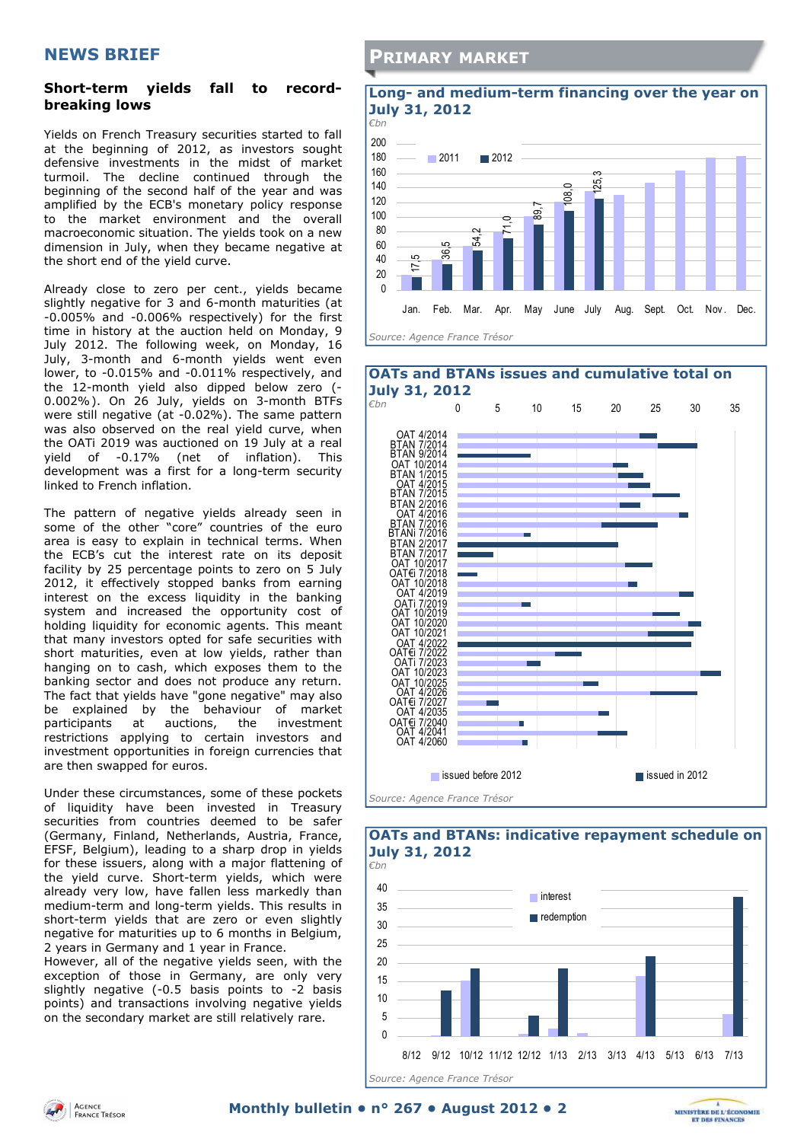## **NEWS BRIEF**

#### **Short-term yields fall to recordbreaking lows**

Yields on French Treasury securities started to fall at the beginning of 2012, as investors sought defensive investments in the midst of market turmoil. The decline continued through the beginning of the second half of the year and was amplified by the ECB's monetary policy response to the market environment and the overall macroeconomic situation. The yields took on a new dimension in July, when they became negative at the short end of the yield curve.

Already close to zero per cent., yields became slightly negative for 3 and 6-month maturities (at -0.005% and -0.006% respectively) for the first time in history at the auction held on Monday, 9 July 2012. The following week, on Monday, 16 July, 3-month and 6-month yields went even lower, to -0.015% and -0.011% respectively, and the 12-month yield also dipped below zero (- 0.002%). On 26 July, yields on 3-month BTFs were still negative (at -0.02%). The same pattern was also observed on the real yield curve, when the OATi 2019 was auctioned on 19 July at a real yield of -0.17% (net of inflation). This development was a first for a long-term security linked to French inflation.

The pattern of negative yields already seen in some of the other "core" countries of the euro area is easy to explain in technical terms. When the ECB's cut the interest rate on its deposit facility by 25 percentage points to zero on 5 July 2012, it effectively stopped banks from earning interest on the excess liquidity in the banking system and increased the opportunity cost of holding liquidity for economic agents. This meant that many investors opted for safe securities with short maturities, even at low yields, rather than hanging on to cash, which exposes them to the banking sector and does not produce any return. The fact that yields have "gone negative" may also be explained by the behaviour of market participants at auctions, the investment restrictions applying to certain investors and investment opportunities in foreign currencies that are then swapped for euros.

Under these circumstances, some of these pockets of liquidity have been invested in Treasury securities from countries deemed to be safer (Germany, Finland, Netherlands, Austria, France, EFSF, Belgium), leading to a sharp drop in yields for these issuers, along with a major flattening of the yield curve. Short-term yields, which were already very low, have fallen less markedly than medium-term and long-term yields. This results in short-term yields that are zero or even slightly negative for maturities up to 6 months in Belgium, 2 years in Germany and 1 year in France.

However, all of the negative yields seen, with the exception of those in Germany, are only very slightly negative (-0.5 basis points to -2 basis points) and transactions involving negative yields on the secondary market are still relatively rare.

### **PRIMARY MARKET**

#### **Long- and medium-term financing over the year on July 31, 2012**





#### $\Omega$ 5 10 15  $20$ 25 30 35  $40$ 8/12 9/12 10/12 11/12 12/12 1/13 2/13 3/13 4/13 5/13 6/13 7/13 **interest redemption** *Source: Agence France Trésor*  **OATs and BTANs: indicative repayment schedule on July 31, 2012**  *€bn*

MINISTÈRE DE L'ÉCONOMIE

**ET DES FINANCE**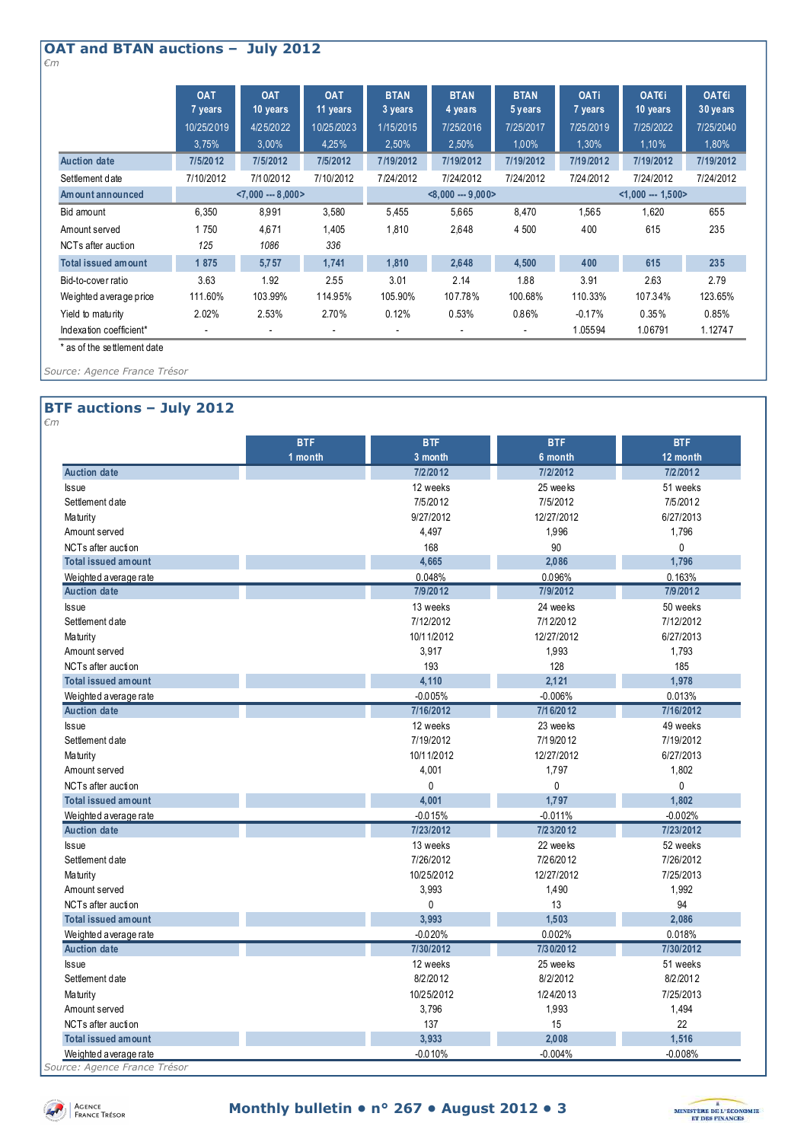#### **OAT and BTAN auctions – July 2012**  *€m*

|                            | <b>OAT</b><br>7 years | <b>OAT</b><br>10 years | <b>OAT</b><br>11 years | <b>BTAN</b><br>3 years | <b>BTAN</b><br>4 years | <b>BTAN</b><br>5 years | <b>OATi</b><br>7 years | OAT€i<br>10 years | OAT€i<br>30 years |  |
|----------------------------|-----------------------|------------------------|------------------------|------------------------|------------------------|------------------------|------------------------|-------------------|-------------------|--|
|                            | 10/25/2019            | 4/25/2022              | 10/25/2023             | 1/15/2015              | 7/25/2016              | 7/25/2017              | 7/25/2019              | 7/25/2022         | 7/25/2040         |  |
|                            | 3,75%                 | 3,00%                  | 4.25%                  | 2,50%                  | 2,50%                  | 1.00%                  | 1,30%                  | 1,10%             | 1,80%             |  |
| <b>Auction date</b>        | 7/5/2012              | 7/5/2012               | 7/5/2012               | 7/19/2012              | 7/19/2012              | 7/19/2012              | 7/19/2012              | 7/19/2012         | 7/19/2012         |  |
| Settlement date            | 7/10/2012             | 7/10/2012              | 7/10/2012              | 7/24/2012              | 7/24/2012              | 7/24/2012              | 7/24/2012              | 7/24/2012         | 7/24/2012         |  |
| Amount announced           |                       | $< 7.000 - 8.000 >$    |                        |                        | $< 8.000 - 9.000 >$    |                        |                        | $<1.000 - 1.500$  |                   |  |
| Bid amount                 | 6.350                 | 8,991                  | 3,580                  | 5,455                  | 5,665                  | 8,470                  | 1,565                  | 1,620             | 655               |  |
| Amount served              | 1750                  | 4,671                  | 1,405                  | 1,810                  | 2,648                  | 4 500                  | 400                    | 615               | 235               |  |
| NCTs after auction         | 125                   | 1086                   | 336                    |                        |                        |                        |                        |                   |                   |  |
| <b>Total issued amount</b> | 1875                  | 5,757                  | 1,741                  | 1,810                  | 2,648                  | 4,500                  | 400                    | 615               | 235               |  |
| Bid-to-cover ratio         | 3.63                  | 1.92                   | 2.55                   | 3.01                   | 2.14                   | 1.88                   | 3.91                   | 2.63              | 2.79              |  |
| Weighted a verage price    | 111.60%               | 103.99%                | 114.95%                | 105.90%                | 107.78%                | 100.68%                | 110.33%                | 107.34%           | 123.65%           |  |
| Yield to maturity          | 2.02%                 | 2.53%                  | 2.70%                  | 0.12%                  | 0.53%                  | 0.86%                  | $-0.17%$               | 0.35%             | 0.85%             |  |
| Indexation coefficient*    |                       |                        |                        |                        |                        |                        | 1.05594                | 1.06791           | 1.12747           |  |

\* as of the settlement date

*Source: Agence France Trésor* 

#### **BTF auctions – July 2012**  *€m*

|                            | <b>BTF</b> | <b>BTF</b>   | <b>BTF</b>  | <b>BTF</b>   |
|----------------------------|------------|--------------|-------------|--------------|
|                            | 1 month    | 3 month      | 6 month     | 12 month     |
| <b>Auction date</b>        |            | 7/2/2012     | 7/2/2012    | 7/2/2012     |
| <b>Issue</b>               |            | 12 weeks     | 25 wee ks   | 51 weeks     |
| Settlement date            |            | 7/5/2012     | 7/5/2012    | 7/5/2012     |
| <b>Maturity</b>            |            | 9/27/2012    | 12/27/2012  | 6/27/2013    |
| Amount served              |            | 4,497        | 1,996       | 1,796        |
| NCTs after auction         |            | 168          | 90          | $\Omega$     |
| <b>Total issued amount</b> |            | 4,665        | 2,086       | 1,796        |
| Weighted average rate      |            | 0.048%       | 0.096%      | 0.163%       |
| <b>Auction date</b>        |            | 7/9/2012     | 7/9/2012    | 7/9/2012     |
| <b>Issue</b>               |            | 13 weeks     | 24 wee ks   | 50 weeks     |
| Settlement date            |            | 7/12/2012    | 7/1 2/20 12 | 7/12/2012    |
| <b>Maturity</b>            |            | 10/11/2012   | 12/27/2012  | 6/27/2013    |
| Amount served              |            | 3,917        | 1,993       | 1,793        |
| NCTs after auction         |            | 193          | 128         | 185          |
| <b>Total issued amount</b> |            | 4,110        | 2.121       | 1,978        |
| Weighted average rate      |            | $-0.005%$    | $-0.006%$   | 0.013%       |
| <b>Auction date</b>        |            | 7/16/2012    | 7/16/2012   | 7/16/2012    |
| <b>Issue</b>               |            | 12 weeks     | 23 weeks    | 49 weeks     |
| Settlement date            |            | 7/19/2012    | 7/19/2012   | 7/19/2012    |
| <b>Maturity</b>            |            | 10/11/2012   | 12/27/2012  | 6/27/2013    |
| Amount served              |            | 4,001        | 1,797       | 1,802        |
| NCTs after auction         |            | 0            | 0           | $\mathbf{0}$ |
| <b>Total issued amount</b> |            | 4,001        | 1,797       | 1,802        |
| Weighted average rate      |            | $-0.015%$    | $-0.011%$   | $-0.002%$    |
| <b>Auction date</b>        |            | 7/23/2012    | 7/23/2012   | 7/23/2012    |
| <b>Issue</b>               |            | 13 weeks     | 22 weeks    | 52 weeks     |
| Settlement date            |            | 7/26/2012    | 7/26/2012   | 7/26/2012    |
| <b>Maturity</b>            |            | 10/25/2012   | 12/27/2012  | 7/25/2013    |
| Amount served              |            | 3,993        | 1,490       | 1,992        |
| NCTs after auction         |            | $\mathbf{0}$ | 13          | 94           |
| <b>Total issued amount</b> |            | 3,993        | 1,503       | 2,086        |
| Weighted average rate      |            | $-0.020%$    | 0.002%      | 0.018%       |
| <b>Auction date</b>        |            | 7/30/2012    | 7/30/2012   | 7/30/2012    |
| <b>Issue</b>               |            | 12 weeks     | 25 wee ks   | 51 weeks     |
| Settlement date            |            | 8/2/2012     | 8/2/2012    | 8/2/2012     |
| <b>Maturity</b>            |            | 10/25/2012   | 1/24/2013   | 7/25/2013    |
| Amount served              |            | 3,796        | 1,993       | 1,494        |
| NCTs after auction         |            | 137          | 15          | 22           |
| <b>Total issued amount</b> |            | 3,933        | 2.008       | 1,516        |
| Weighted average rate      |            | $-0.010%$    | $-0.004%$   | $-0.008%$    |

*Source: Agence France Trésor* 



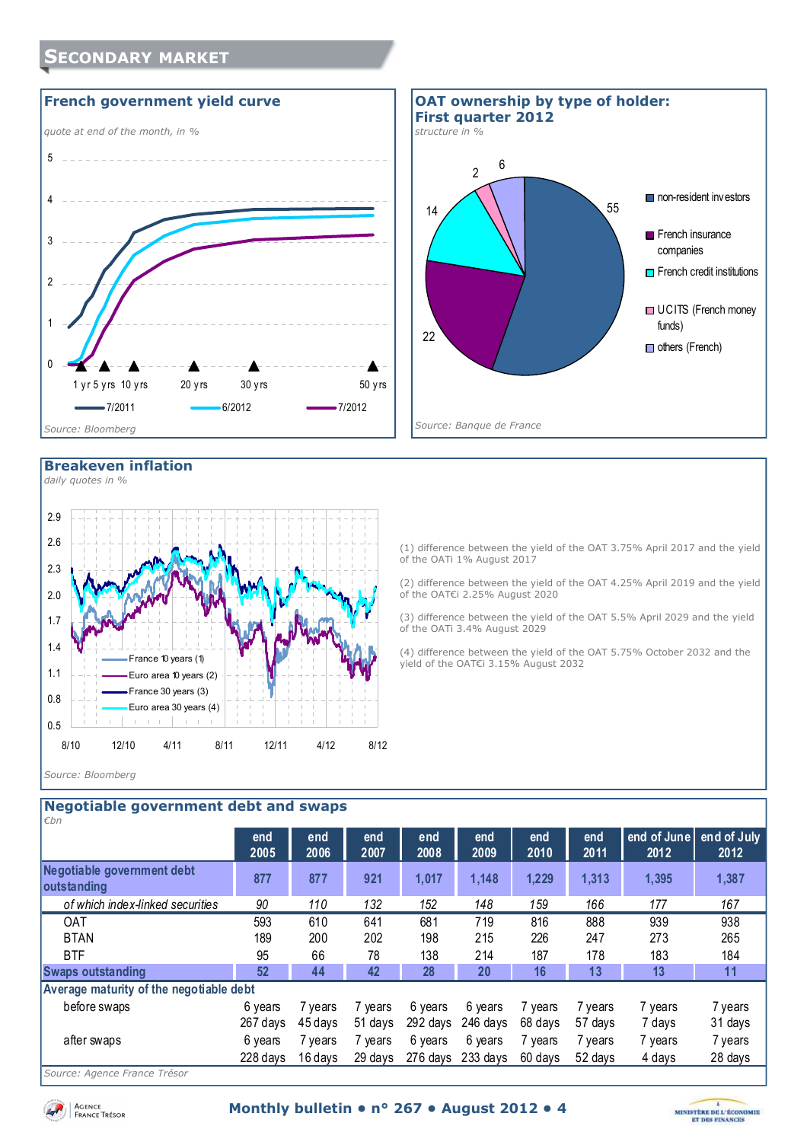





#### **Breakeven inflation**

*daily quotes in %* 



of the OATi 1% August 2017 (2) difference between the yield of the OAT 4.25% April 2019 and the yield of the OAT€i 2.25% August 2020

(1) difference between the yield of the OAT 3.75% April 2017 and the yield

(3) difference between the yield of the OAT 5.5% April 2029 and the yield of the OATi 3.4% August 2029

(4) difference between the yield of the OAT 5.75% October 2032 and the yield of the OAT€i 3.15% August 2032

#### *Source: Bloomberg*

| <b>Negotiable government debt and swaps</b> |          |         |         |          |          |         |         |             |             |
|---------------------------------------------|----------|---------|---------|----------|----------|---------|---------|-------------|-------------|
| €bn                                         |          |         |         |          |          |         |         |             |             |
|                                             | end      | end     | end     | end      | end      | end     | end     | end of June | end of July |
|                                             | 2005     | 2006    | 2007    | 2008     | 2009     | 2010    | 2011    | 2012        | 2012        |
| Negotiable government debt                  | 877      | 877     | 921     | 1,017    | 1,148    | 1,229   | 1,313   | 1,395       | 1,387       |
| outstanding                                 |          |         |         |          |          |         |         |             |             |
| of which index-linked securities            | 90       | 110     | 132     | 152      | 148      | 159     | 166     | 177         | 167         |
| <b>OAT</b>                                  | 593      | 610     | 641     | 681      | 719      | 816     | 888     | 939         | 938         |
| <b>BTAN</b>                                 | 189      | 200     | 202     | 198      | 215      | 226     | 247     | 273         | 265         |
| <b>BTF</b>                                  | 95       | 66      | 78      | 138      | 214      | 187     | 178     | 183         | 184         |
| <b>Swaps outstanding</b>                    | 52       | 44      | 42      | 28       | 20       | 16      | 13      | 13          | 11          |
| Average maturity of the negotiable debt     |          |         |         |          |          |         |         |             |             |
| before swaps                                | 6 years  | 7 years | 7 years | 6 years  | 6 years  | 7 years | 7 years | 7 years     | 7 years     |
|                                             | 267 days | 45 days | 51 days | 292 days | 246 davs | 68 days | 57 days | 7 days      | 31 days     |
| after swaps                                 | 6 years  | 7 years | 7 years | 6 years  | 6 years  | 7 years | 7 years | 7 years     | 7 years     |
|                                             | 228 days | 16 days | 29 days | 276 days | 233 days | 60 days | 52 days | 4 days      | 28 days     |
| $ \prime$                                   |          |         |         |          |          |         |         |             |             |

*Source: Agence France Trésor* 

Agence<br>France Trésor

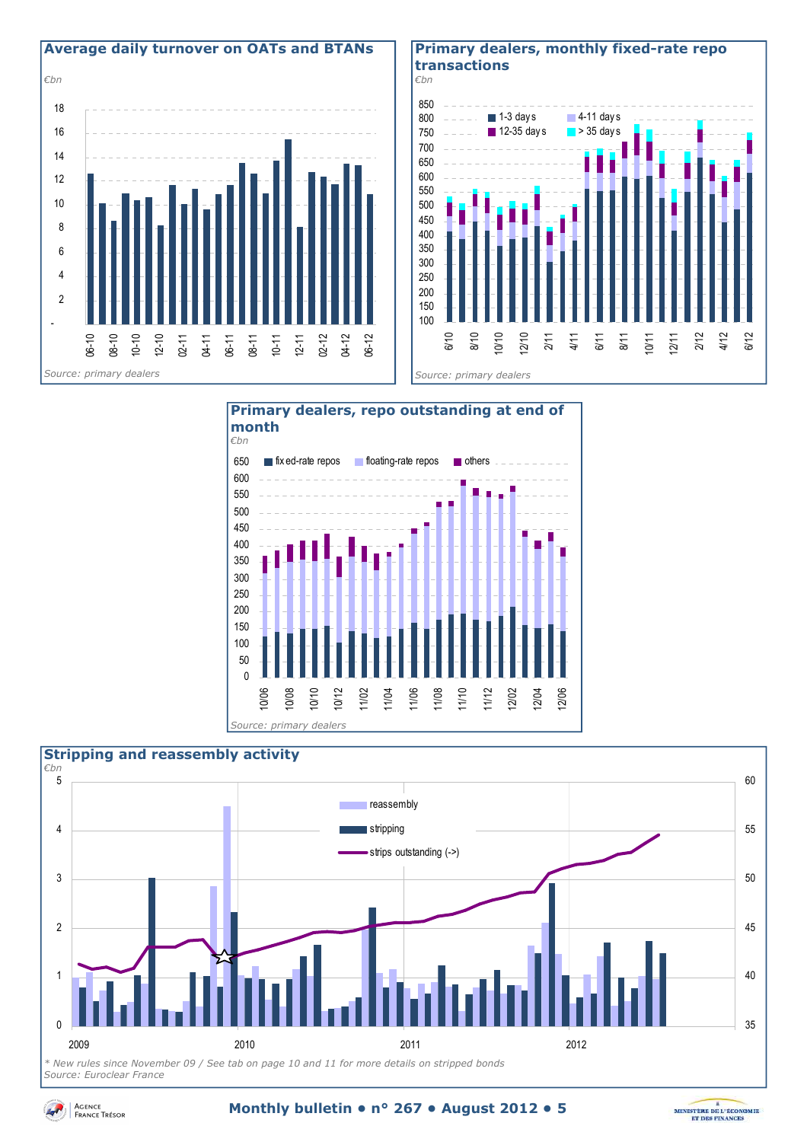

#### **Primary dealers, monthly fixed-rate repo transactions**



 $\overline{0}$ 50 100 150 200 250 300 350 400 450 500 550 600 650 10/06 10/08 10/10 10/12 11/02 11/04 11/06 11/08 11/10 11/12 12/02 12/04 12/06  $\blacksquare$  fix ed-rate repos  $\blacksquare$  floating-rate repos  $\blacksquare$  others **Primary dealers, repo outstanding at end of month**  *€bn Source: primary dealers* 



*Source: Euroclear France* 



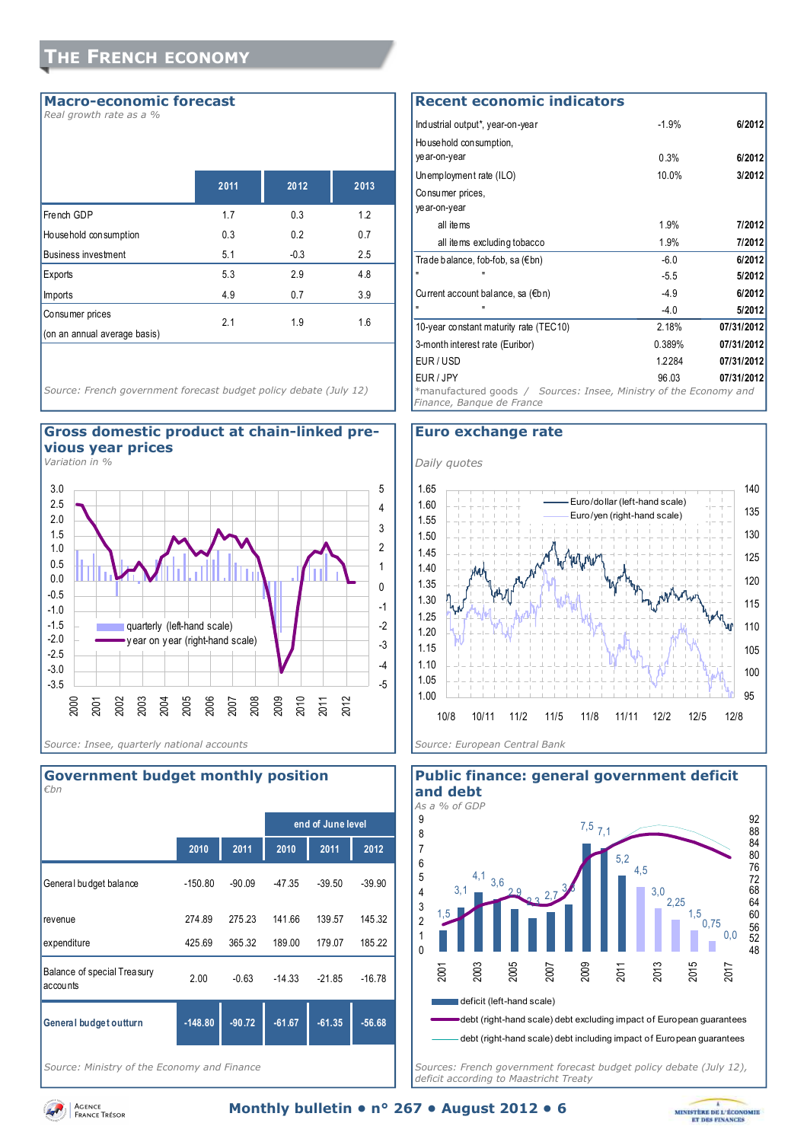#### **Macro-economic forecast**

*Real growth rate as a %* 

|                                                 | 2011 | 2012   | 2013 |
|-------------------------------------------------|------|--------|------|
| French GDP                                      | 1.7  | 0.3    | 1.2  |
| Ho use hold consumption                         | 0.3  | 0.2    | 0.7  |
| <b>Business investment</b>                      | 5.1  | $-0.3$ | 2.5  |
| Exports                                         | 5.3  | 2.9    | 4.8  |
| <b>Imports</b>                                  | 4.9  | 0.7    | 3.9  |
| Consumer prices<br>(on an annual average basis) | 2.1  | 1.9    | 1.6  |
|                                                 |      |        |      |

*Source: French government forecast budget policy debate (July 12)* 



*Variation in %* 





*Source: Ministry of the Economy and Finance* 

## **Recent economic indicators**

| Industrial output*, year-on-year                                                                            | $-1.9%$         | 6/2012     |  |  |
|-------------------------------------------------------------------------------------------------------------|-----------------|------------|--|--|
| Household consumption,                                                                                      |                 |            |  |  |
| ye ar-on-year                                                                                               | 0.3%            | 6/2012     |  |  |
| Unemployment rate (ILO)                                                                                     | 10.0%<br>3/2012 |            |  |  |
| Consumer prices,                                                                                            |                 |            |  |  |
| ye ar-on-year                                                                                               |                 |            |  |  |
| all items                                                                                                   | 1.9%            | 7/2012     |  |  |
| all items excluding tobacco                                                                                 | 1.9%            | 7/2012     |  |  |
| Trade balance, fob-fob, sa $(\epsilon$ bn)                                                                  | $-6.0$          | 6/2012     |  |  |
| ш                                                                                                           | $-5.5$          | 5/2012     |  |  |
| Current account balance, sa $(\epsilon b n)$                                                                | $-4.9$          | 6/2012     |  |  |
|                                                                                                             | $-4.0$          | 5/2012     |  |  |
| 10-year constant maturity rate (TEC10)                                                                      | 2.18%           | 07/31/2012 |  |  |
| 3-month interest rate (Euribor)                                                                             | 0.389%          | 07/31/2012 |  |  |
| EUR/USD                                                                                                     | 1.2284          | 07/31/2012 |  |  |
| EUR / JPY<br>*manufactured goods / Sources: Insee, Ministry of the Economy and<br>Finance, Bangue de France | 96.03           | 07/31/2012 |  |  |

#### **Euro exchange rate**





*Sources: French government forecast budget policy debate (July 12), deficit according to Maastricht Treaty* 

Agence<br>France Trésor



**Government budget monthly position**  *€bn*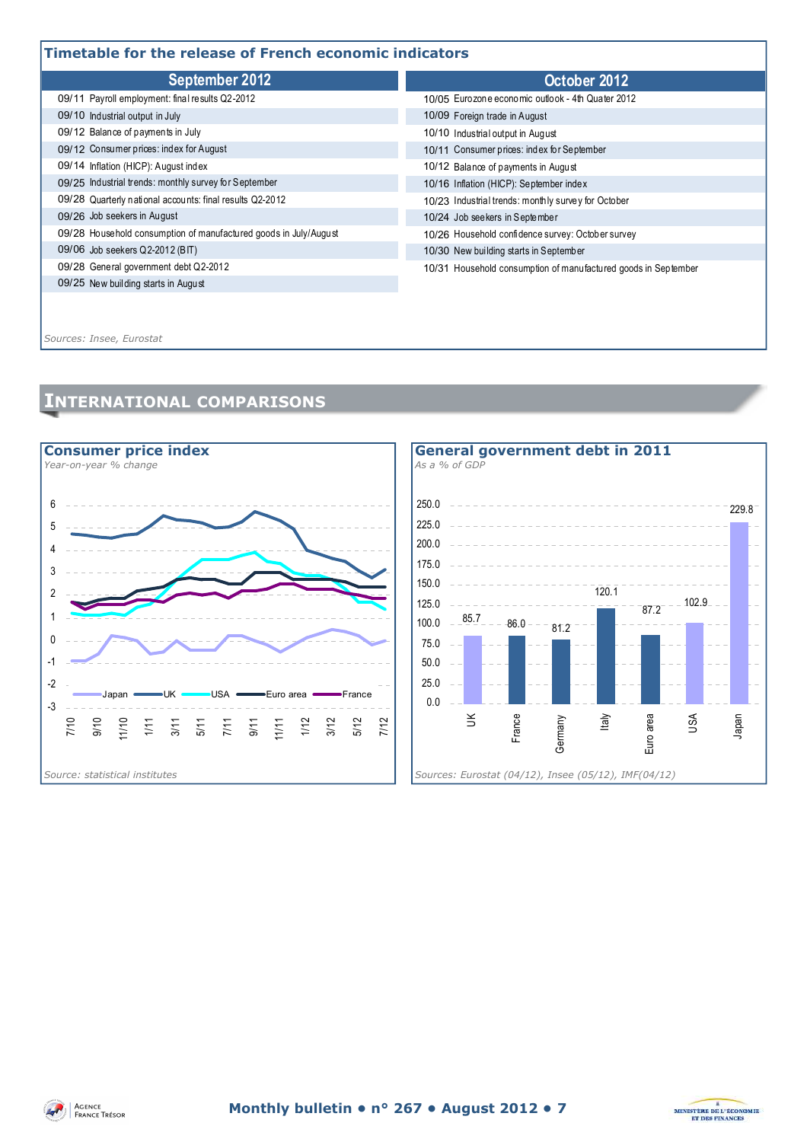### **Timetable for the release of French economic indicators**

| ב וווופנטטופ וטר נוופ רפופטפט טר רפווטון פעטווטווווט וועופטנטופ  |                                                                |  |  |  |  |
|------------------------------------------------------------------|----------------------------------------------------------------|--|--|--|--|
| September 2012                                                   | October 2012                                                   |  |  |  |  |
| 09/11 Payroll employment: final results Q2-2012                  | 10/05 Eurozone economic outlook - 4th Quater 2012              |  |  |  |  |
| 09/10 Industrial output in July                                  | 10/09 Foreign trade in August                                  |  |  |  |  |
| 09/12 Balance of payments in July                                | 10/10 Industrial output in August                              |  |  |  |  |
| 09/12 Consumer prices: index for August                          | 10/11 Consumer prices: index for September                     |  |  |  |  |
| 09/14 Inflation (HICP): August index                             | 10/12 Balance of payments in August                            |  |  |  |  |
| 09/25 Industrial trends: monthly survey for September            | 10/16 Inflation (HICP): September index                        |  |  |  |  |
| 09/28 Quarterly national accounts: final results Q2-2012         | 10/23 Industrial trends: monthly survey for October            |  |  |  |  |
| 09/26 Job seekers in August                                      | 10/24 Job seekers in September                                 |  |  |  |  |
| 09/28 Household consumption of manufactured goods in July/August | 10/26 Household confidence survey: October survey              |  |  |  |  |
| 09/06 Job seekers Q2-2012 (BIT)                                  | 10/30 New building starts in September                         |  |  |  |  |
| 09/28 General government debt Q2-2012                            | 10/31 Household consumption of manufactured goods in September |  |  |  |  |
| 09/25 New building starts in August                              |                                                                |  |  |  |  |
|                                                                  |                                                                |  |  |  |  |

*Sources: Insee, Eurostat*

## **INTERNATIONAL COMPARISONS**







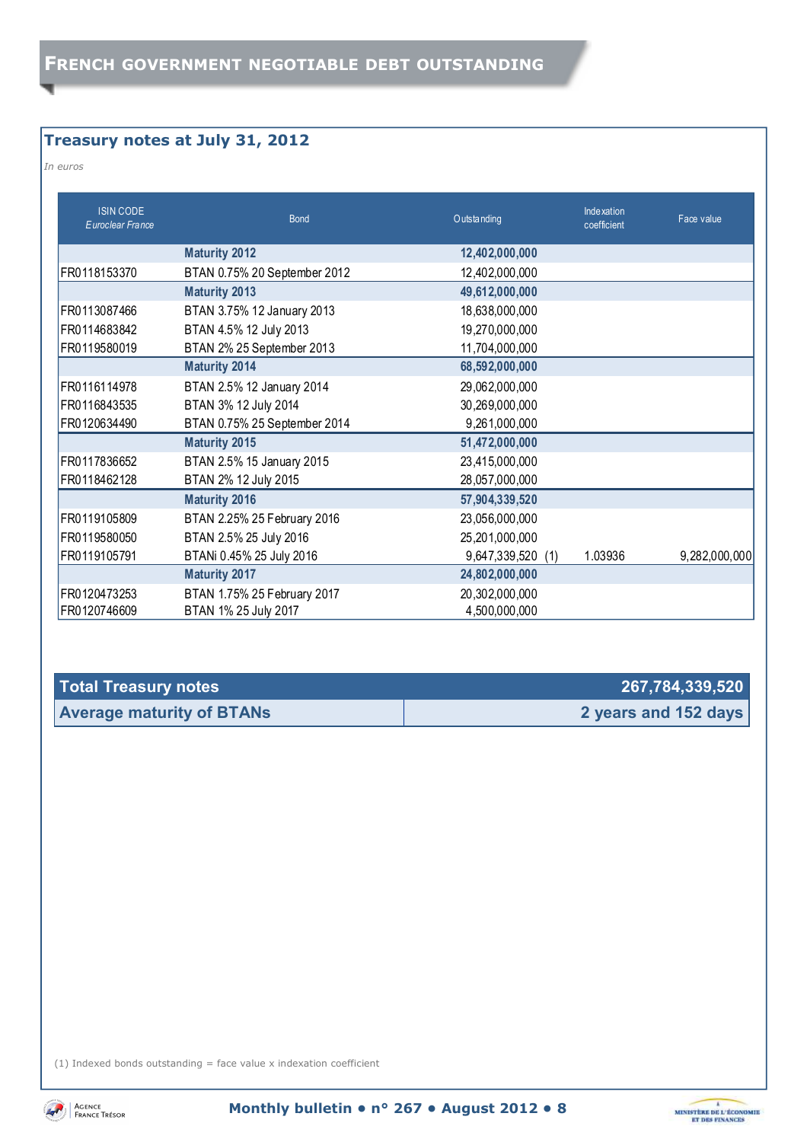## **Treasury notes at July 31, 2012**

*In euros* 

| <b>ISIN CODE</b><br>Euroclear France | <b>Bond</b>                  | Outstanding       | Indexation<br>coefficient | Face value    |
|--------------------------------------|------------------------------|-------------------|---------------------------|---------------|
|                                      | <b>Maturity 2012</b>         | 12,402,000,000    |                           |               |
| FR0118153370                         | BTAN 0.75% 20 September 2012 | 12,402,000,000    |                           |               |
|                                      | <b>Maturity 2013</b>         | 49,612,000,000    |                           |               |
| FR0113087466                         | BTAN 3.75% 12 January 2013   | 18,638,000,000    |                           |               |
| FR0114683842                         | BTAN 4.5% 12 July 2013       | 19,270,000,000    |                           |               |
| FR0119580019                         | BTAN 2% 25 September 2013    | 11,704,000,000    |                           |               |
|                                      | <b>Maturity 2014</b>         | 68,592,000,000    |                           |               |
| FR0116114978                         | BTAN 2.5% 12 January 2014    | 29,062,000,000    |                           |               |
| FR0116843535                         | BTAN 3% 12 July 2014         | 30,269,000,000    |                           |               |
| FR0120634490                         | BTAN 0.75% 25 September 2014 | 9,261,000,000     |                           |               |
|                                      | <b>Maturity 2015</b>         | 51,472,000,000    |                           |               |
| FR0117836652                         | BTAN 2.5% 15 January 2015    | 23,415,000,000    |                           |               |
| FR0118462128                         | BTAN 2% 12 July 2015         | 28,057,000,000    |                           |               |
|                                      | <b>Maturity 2016</b>         | 57,904,339,520    |                           |               |
| FR0119105809                         | BTAN 2.25% 25 February 2016  | 23,056,000,000    |                           |               |
| FR0119580050                         | BTAN 2.5% 25 July 2016       | 25,201,000,000    |                           |               |
| FR0119105791                         | BTANi 0.45% 25 July 2016     | 9,647,339,520 (1) | 1.03936                   | 9,282,000,000 |
|                                      | <b>Maturity 2017</b>         | 24,802,000,000    |                           |               |
| FR0120473253                         | BTAN 1.75% 25 February 2017  | 20,302,000,000    |                           |               |
| FR0120746609                         | BTAN 1% 25 July 2017         | 4,500,000,000     |                           |               |

| Total Treasury notes             | 267,784,339,520      |
|----------------------------------|----------------------|
| <b>Average maturity of BTANs</b> | 2 years and 152 days |

(1) Indexed bonds outstanding  $=$  face value x indexation coefficient



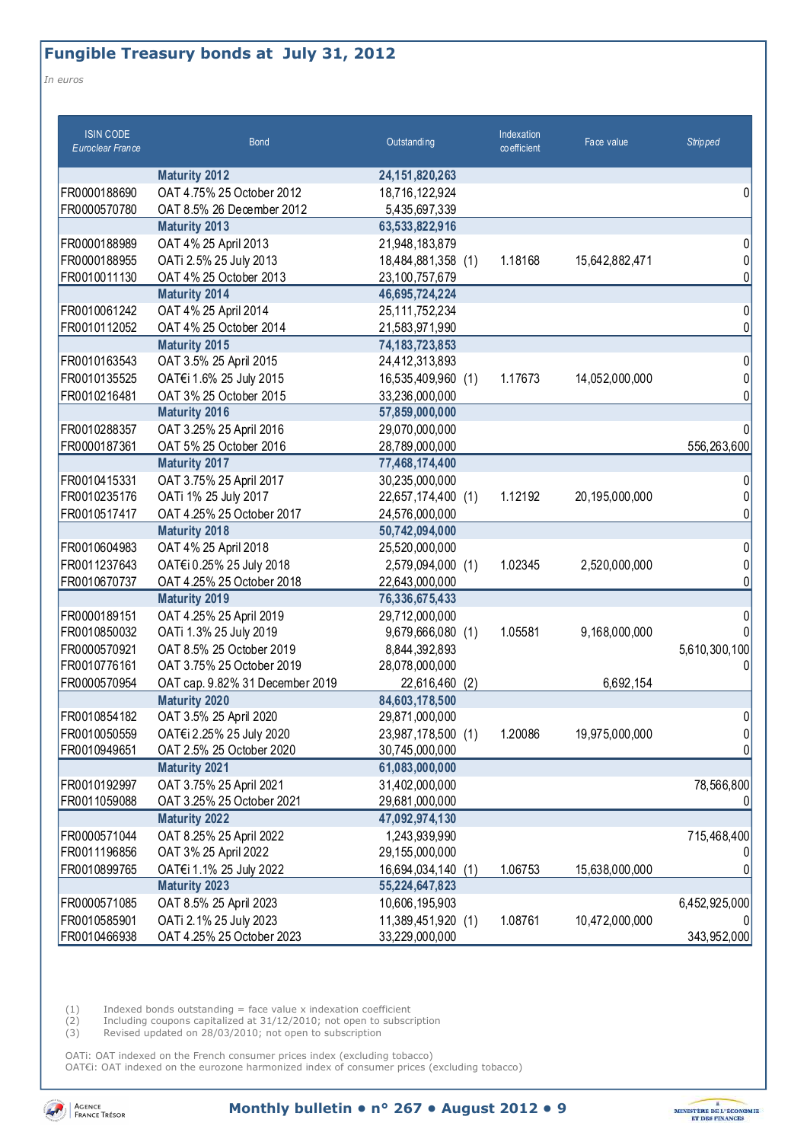## **Fungible Treasury bonds at July 31, 2012**

*In euros* 

| <b>ISIN CODE</b><br><b>Euroclear France</b> | <b>Bond</b>                                        | Outstanding                     | Indexation<br>$\infty$ efficient | Face value     | <b>Stripped</b> |
|---------------------------------------------|----------------------------------------------------|---------------------------------|----------------------------------|----------------|-----------------|
|                                             | <b>Maturity 2012</b>                               | 24, 151, 820, 263               |                                  |                |                 |
| FR0000188690                                | OAT 4.75% 25 October 2012                          | 18,716,122,924                  |                                  |                | 0               |
| FR0000570780                                | OAT 8.5% 26 December 2012                          | 5,435,697,339                   |                                  |                |                 |
|                                             | <b>Maturity 2013</b>                               | 63,533,822,916                  |                                  |                |                 |
| FR0000188989                                | OAT 4% 25 April 2013                               | 21,948,183,879                  |                                  |                | 0               |
| FR0000188955                                | OATi 2.5% 25 July 2013                             | 18,484,881,358 (1)              | 1.18168                          | 15,642,882,471 |                 |
| FR0010011130                                | OAT 4% 25 October 2013                             | 23,100,757,679                  |                                  |                |                 |
|                                             | <b>Maturity 2014</b>                               | 46,695,724,224                  |                                  |                |                 |
| FR0010061242                                | OAT 4% 25 April 2014                               | 25, 111, 752, 234               |                                  |                | 0               |
| FR0010112052                                | OAT 4% 25 October 2014                             | 21,583,971,990                  |                                  |                | N               |
|                                             | <b>Maturity 2015</b>                               | 74, 183, 723, 853               |                                  |                |                 |
| FR0010163543                                | OAT 3.5% 25 April 2015                             | 24,412,313,893                  |                                  |                | 0               |
| FR0010135525                                | OAT€i 1.6% 25 July 2015                            | 16,535,409,960 (1)              | 1.17673                          | 14,052,000,000 |                 |
| FR0010216481                                | OAT 3% 25 October 2015                             | 33,236,000,000                  |                                  |                |                 |
|                                             | Maturity 2016                                      | 57,859,000,000                  |                                  |                |                 |
| FR0010288357                                | OAT 3.25% 25 April 2016                            | 29,070,000,000                  |                                  |                |                 |
| FR0000187361                                | OAT 5% 25 October 2016                             | 28,789,000,000                  |                                  |                | 556,263,600     |
|                                             | <b>Maturity 2017</b>                               | 77,468,174,400                  |                                  |                |                 |
| FR0010415331                                | OAT 3.75% 25 April 2017                            | 30,235,000,000                  |                                  |                |                 |
| FR0010235176                                | OATi 1% 25 July 2017                               | 22,657,174,400 (1)              | 1.12192                          | 20,195,000,000 |                 |
| FR0010517417                                | OAT 4.25% 25 October 2017                          | 24,576,000,000                  |                                  |                | 0               |
|                                             | <b>Maturity 2018</b>                               | 50,742,094,000                  |                                  |                |                 |
| FR0010604983                                | OAT 4% 25 April 2018                               | 25,520,000,000                  |                                  |                | 0               |
| FR0011237643                                | OAT€i 0.25% 25 July 2018                           | 2,579,094,000 (1)               | 1.02345                          | 2,520,000,000  | N<br>N          |
| FR0010670737                                | OAT 4.25% 25 October 2018                          | 22,643,000,000                  |                                  |                |                 |
|                                             | <b>Maturity 2019</b>                               | 76,336,675,433                  |                                  |                |                 |
| FR0000189151<br>FR0010850032                | OAT 4.25% 25 April 2019                            | 29,712,000,000                  | 1.05581                          | 9,168,000,000  |                 |
| FR0000570921                                | OATi 1.3% 25 July 2019<br>OAT 8.5% 25 October 2019 | 9,679,666,080 (1)               |                                  |                |                 |
| FR0010776161                                | OAT 3.75% 25 October 2019                          | 8,844,392,893<br>28,078,000,000 |                                  |                | 5,610,300,100   |
| FR0000570954                                | OAT cap. 9.82% 31 December 2019                    | 22,616,460<br>(2)               |                                  | 6,692,154      |                 |
|                                             | <b>Maturity 2020</b>                               | 84,603,178,500                  |                                  |                |                 |
| FR0010854182                                | OAT 3.5% 25 April 2020                             | 29,871,000,000                  |                                  |                | 0               |
| FR0010050559                                | OAT€i 2.25% 25 July 2020                           | 23,987,178,500 (1)              | 1.20086                          | 19,975,000,000 | 01              |
| FR0010949651                                | OAT 2.5% 25 October 2020                           | 30,745,000,000                  |                                  |                |                 |
|                                             | <b>Maturity 2021</b>                               | 61,083,000,000                  |                                  |                |                 |
| FR0010192997                                | OAT 3.75% 25 April 2021                            | 31,402,000,000                  |                                  |                | 78,566,800      |
| FR0011059088                                | OAT 3.25% 25 October 2021                          | 29,681,000,000                  |                                  |                |                 |
|                                             | <b>Maturity 2022</b>                               | 47,092,974,130                  |                                  |                |                 |
| FR0000571044                                | OAT 8.25% 25 April 2022                            | 1,243,939,990                   |                                  |                | 715,468,400     |
| FR0011196856                                | OAT 3% 25 April 2022                               | 29,155,000,000                  |                                  |                |                 |
| FR0010899765                                | OAT€i 1.1% 25 July 2022                            | 16,694,034,140<br>(1)           | 1.06753                          | 15,638,000,000 |                 |
|                                             | <b>Maturity 2023</b>                               | 55,224,647,823                  |                                  |                |                 |
| FR0000571085                                | OAT 8.5% 25 April 2023                             | 10,606,195,903                  |                                  |                | 6,452,925,000   |
| FR0010585901                                | OATi 2.1% 25 July 2023                             | 11,389,451,920 (1)              | 1.08761                          | 10,472,000,000 |                 |
| FR0010466938                                | OAT 4.25% 25 October 2023                          | 33,229,000,000                  |                                  |                | 343,952,000     |

 $(1)$  Indexed bonds outstanding = face value x indexation coefficient

(2) Including coupons capitalized at 31/12/2010; not open to subscription

(3) Revised updated on 28/03/2010; not open to subscription

OATi: OAT indexed on the French consumer prices index (excluding tobacco) OAT€i: OAT indexed on the eurozone harmonized index of consumer prices (excluding tobacco)



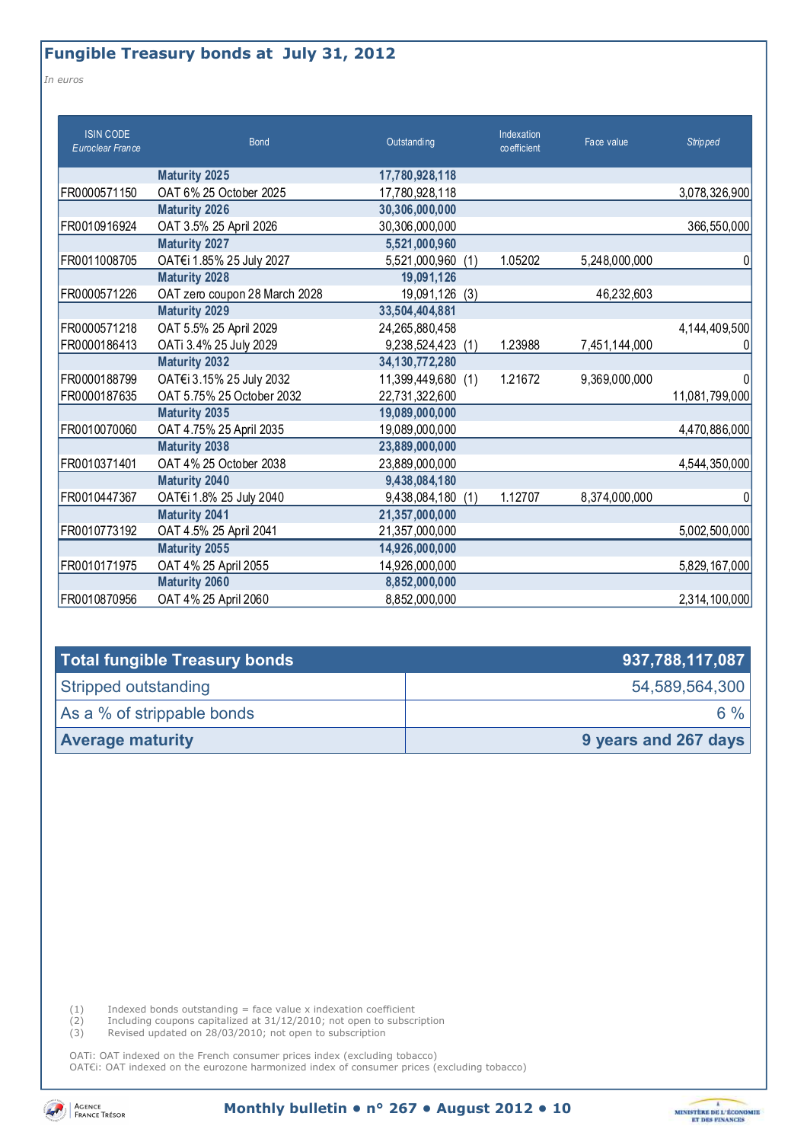## **Fungible Treasury bonds at July 31, 2012**

*In euros* 

| <b>ISIN CODE</b><br>Euroclear France | <b>Bond</b>                   | Outstanding          | Indexation<br>co efficient | Face value    | <b>Stripped</b> |
|--------------------------------------|-------------------------------|----------------------|----------------------------|---------------|-----------------|
|                                      | <b>Maturity 2025</b>          | 17,780,928,118       |                            |               |                 |
| FR0000571150                         | OAT 6% 25 October 2025        | 17,780,928,118       |                            |               | 3,078,326,900   |
|                                      | <b>Maturity 2026</b>          | 30,306,000,000       |                            |               |                 |
| FR0010916924                         | OAT 3.5% 25 April 2026        | 30,306,000,000       |                            |               | 366,550,000     |
|                                      | <b>Maturity 2027</b>          | 5,521,000,960        |                            |               |                 |
| FR0011008705                         | OAT€i 1.85% 25 July 2027      | 5,521,000,960<br>(1) | 1.05202                    | 5,248,000,000 | 0               |
|                                      | <b>Maturity 2028</b>          | 19,091,126           |                            |               |                 |
| FR0000571226                         | OAT zero coupon 28 March 2028 | 19,091,126<br>(3)    |                            | 46,232,603    |                 |
|                                      | <b>Maturity 2029</b>          | 33,504,404,881       |                            |               |                 |
| FR0000571218                         | OAT 5.5% 25 April 2029        | 24,265,880,458       |                            |               | 4,144,409,500   |
| FR0000186413                         | OATi 3.4% 25 July 2029        | 9,238,524,423<br>(1) | 1.23988                    | 7,451,144,000 |                 |
|                                      | <b>Maturity 2032</b>          | 34, 130, 772, 280    |                            |               |                 |
| FR0000188799                         | OAT€i 3.15% 25 July 2032      | 11,399,449,680 (1)   | 1.21672                    | 9,369,000,000 |                 |
| FR0000187635                         | OAT 5.75% 25 October 2032     | 22,731,322,600       |                            |               | 11,081,799,000  |
|                                      | <b>Maturity 2035</b>          | 19,089,000,000       |                            |               |                 |
| FR0010070060                         | OAT 4.75% 25 April 2035       | 19,089,000,000       |                            |               | 4,470,886,000   |
|                                      | <b>Maturity 2038</b>          | 23,889,000,000       |                            |               |                 |
| FR0010371401                         | OAT 4% 25 October 2038        | 23,889,000,000       |                            |               | 4,544,350,000   |
|                                      | <b>Maturity 2040</b>          | 9,438,084,180        |                            |               |                 |
| FR0010447367                         | OAT€i 1.8% 25 July 2040       | 9,438,084,180<br>(1) | 1.12707                    | 8,374,000,000 |                 |
|                                      | <b>Maturity 2041</b>          | 21,357,000,000       |                            |               |                 |
| FR0010773192                         | OAT 4.5% 25 April 2041        | 21,357,000,000       |                            |               | 5,002,500,000   |
|                                      | <b>Maturity 2055</b>          | 14,926,000,000       |                            |               |                 |
| FR0010171975                         | OAT 4% 25 April 2055          | 14,926,000,000       |                            |               | 5,829,167,000   |
|                                      | <b>Maturity 2060</b>          | 8,852,000,000        |                            |               |                 |
| FR0010870956                         | OAT 4% 25 April 2060          | 8,852,000,000        |                            |               | 2,314,100,000   |

| Total fungible Treasury bonds | 937,788,117,087      |
|-------------------------------|----------------------|
| Stripped outstanding          | 54,589,564,300       |
| As a % of strippable bonds    | $6\%$                |
| <b>Average maturity</b>       | 9 years and 267 days |

 $(1)$  Indexed bonds outstanding = face value x indexation coefficient

(2) Including coupons capitalized at 31/12/2010; not open to subscription

(3) Revised updated on 28/03/2010; not open to subscription

OATi: OAT indexed on the French consumer prices index (excluding tobacco) OAT€i: OAT indexed on the eurozone harmonized index of consumer prices (excluding tobacco)